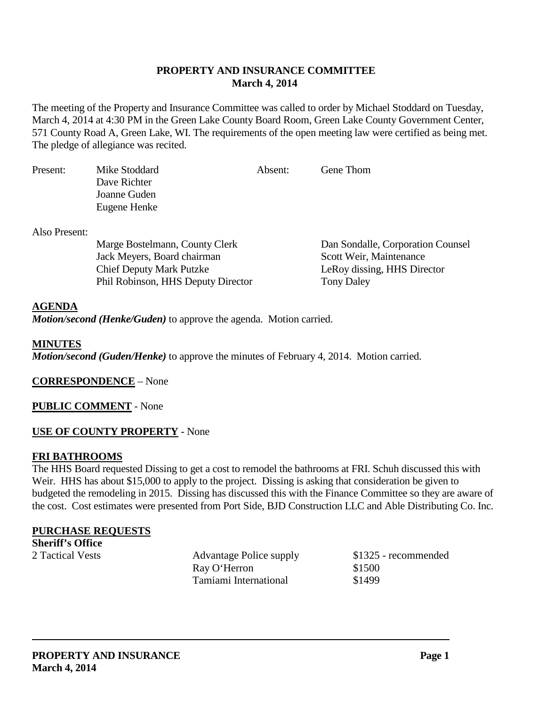#### **PROPERTY AND INSURANCE COMMITTEE March 4, 2014**

The meeting of the Property and Insurance Committee was called to order by Michael Stoddard on Tuesday, March 4, 2014 at 4:30 PM in the Green Lake County Board Room, Green Lake County Government Center, 571 County Road A, Green Lake, WI. The requirements of the open meeting law were certified as being met. The pledge of allegiance was recited.

| Present: | Mike Stoddard | Absent: | Gene Thom |  |
|----------|---------------|---------|-----------|--|
|          | Dave Richter  |         |           |  |
|          | Joanne Guden  |         |           |  |
|          | Eugene Henke  |         |           |  |
|          |               |         |           |  |

Also Present:

Marge Bostelmann, County Clerk Dan Sondalle, Corporation Counsel<br>
Jack Meyers, Board chairman Scott Weir. Maintenance Jack Meyers, Board chairman Chief Deputy Mark Putzke LeRoy dissing, HHS Director Phil Robinson, HHS Deputy Director Tony Daley

#### **AGENDA**

*Motion/second (Henke/Guden)* to approve the agenda. Motion carried.

#### **MINUTES**

*Motion/second (Guden/Henke)* to approve the minutes of February 4, 2014. Motion carried.

**CORRESPONDENCE** – None

**PUBLIC COMMENT** - None

#### **USE OF COUNTY PROPERTY** - None

# **FRI BATHROOMS**

The HHS Board requested Dissing to get a cost to remodel the bathrooms at FRI. Schuh discussed this with Weir. HHS has about \$15,000 to apply to the project. Dissing is asking that consideration be given to budgeted the remodeling in 2015. Dissing has discussed this with the Finance Committee so they are aware of the cost. Cost estimates were presented from Port Side, BJD Construction LLC and Able Distributing Co. Inc.

# **PURCHASE REQUESTS**

**Sheriff's Office**<br>2 Tactical Vests

Advantage Police supply \$1325 - recommended Ray O'Herron \$1500 Tamiami International \$1499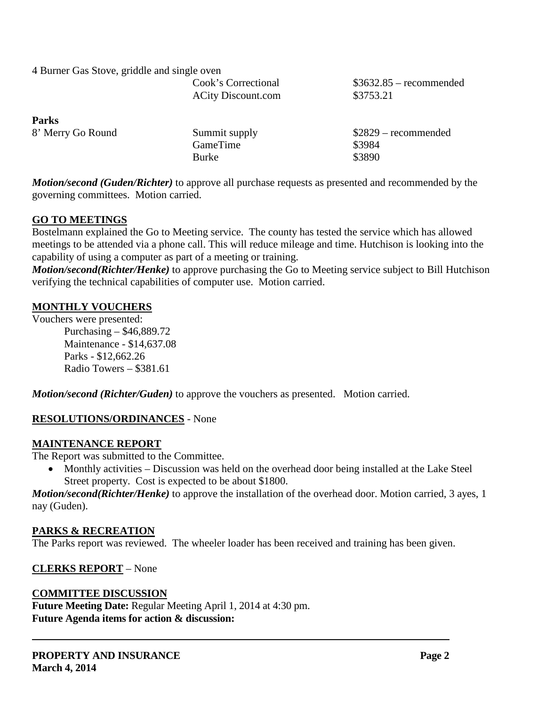| 4 Burner Gas Stove, griddle and single oven |                                                  |                                       |
|---------------------------------------------|--------------------------------------------------|---------------------------------------|
|                                             | Cook's Correctional<br><b>ACity Discount.com</b> | $$3632.85$ – recommended<br>\$3753.21 |
| <b>Parks</b>                                |                                                  |                                       |
| 8' Merry Go Round                           | Summit supply                                    | $$2829$ – recommended                 |
|                                             | GameTime                                         | \$3984                                |
|                                             | <b>Burke</b>                                     | \$3890                                |

*Motion/second (Guden/Richter)* to approve all purchase requests as presented and recommended by the governing committees. Motion carried.

# **GO TO MEETINGS**

Bostelmann explained the Go to Meeting service. The county has tested the service which has allowed meetings to be attended via a phone call. This will reduce mileage and time. Hutchison is looking into the capability of using a computer as part of a meeting or training.

*Motion/second(Richter/Henke)* to approve purchasing the Go to Meeting service subject to Bill Hutchison verifying the technical capabilities of computer use. Motion carried.

# **MONTHLY VOUCHERS**

Vouchers were presented: Purchasing – \$46,889.72 Maintenance - \$14,637.08 Parks - \$12,662.26 Radio Towers – \$381.61

*Motion/second (Richter/Guden)* to approve the vouchers as presented. Motion carried.

# **RESOLUTIONS/ORDINANCES** - None

# **MAINTENANCE REPORT**

The Report was submitted to the Committee.

• Monthly activities – Discussion was held on the overhead door being installed at the Lake Steel Street property. Cost is expected to be about \$1800.

*Motion/second(Richter/Henke)* to approve the installation of the overhead door. Motion carried, 3 ayes, 1 nay (Guden).

# **PARKS & RECREATION**

The Parks report was reviewed. The wheeler loader has been received and training has been given.

# **CLERKS REPORT** – None

# **COMMITTEE DISCUSSION**

**Future Meeting Date:** Regular Meeting April 1, 2014 at 4:30 pm. **Future Agenda items for action & discussion:**